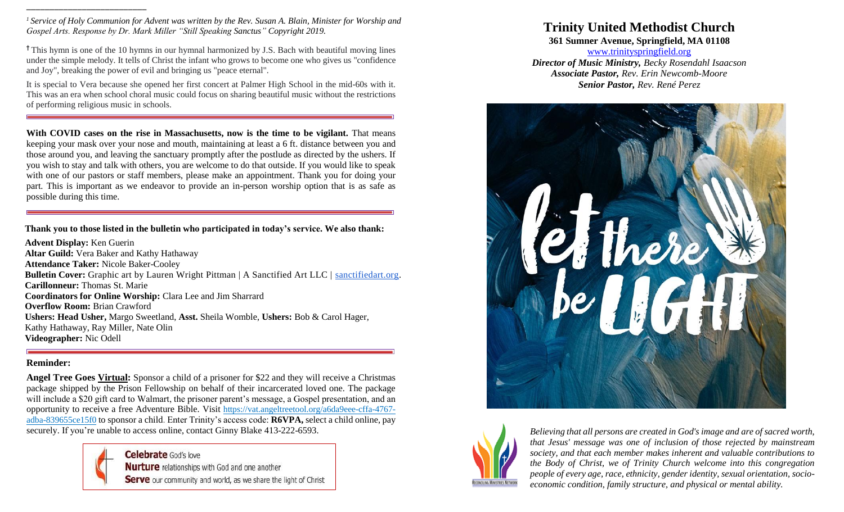*<sup>1</sup> Service of Holy Communion for Advent was written by the Rev. Susan A. Blain, Minister for Worship and Gospel Arts. Response by Dr. Mark Miller "Still Speaking Sanctus" Copyright 2019.*

**†** This hymn is one of the 10 hymns in our hymnal harmonized by J.S. Bach with beautiful moving lines under the simple melody. It tells of Christ the infant who grows to become one who gives us "confidence and Joy", breaking the power of evil and bringing us "peace eternal".

It is special to Vera because she opened her first concert at Palmer High School in the mid-60s with it. This was an era when school choral music could focus on sharing beautiful music without the restrictions of performing religious music in schools.

**With COVID cases on the rise in Massachusetts, now is the time to be vigilant.** That means keeping your mask over your nose and mouth, maintaining at least a 6 ft. distance between you and those around you, and leaving the sanctuary promptly after the postlude as directed by the ushers. If you wish to stay and talk with others, you are welcome to do that outside. If you would like to speak with one of our pastors or staff members, please make an appointment. Thank you for doing your part. This is important as we endeavor to provide an in-person worship option that is as safe as possible during this time.

**Thank you to those listed in the bulletin who participated in today's service. We also thank:**

**Advent Display:** Ken Guerin **Altar Guild:** Vera Baker and Kathy Hathaway **Attendance Taker:** Nicole Baker-Cooley **Bulletin Cover:** Graphic art by Lauren Wright Pittman | A Sanctified Art LLC | [sanctifiedart.org.](http://sanctifiedart.org/) **Carillonneur:** Thomas St. Marie **Coordinators for Online Worship:** Clara Lee and Jim Sharrard **Overflow Room:** Brian Crawford **Ushers: Head Usher,** Margo Sweetland, **Asst.** Sheila Womble, **Ushers:** Bob & Carol Hager, Kathy Hathaway, Ray Miller, Nate Olin **Videographer:** Nic Odell

#### **Reminder:**

\_\_\_\_\_\_\_\_\_\_\_\_\_\_\_\_\_\_\_\_\_\_\_\_\_\_

**Angel Tree Goes Virtual:** Sponsor a child of a prisoner for \$22 and they will receive a Christmas package shipped by the Prison Fellowship on behalf of their incarcerated loved one. The package will include a \$20 gift card to Walmart, the prisoner parent's message, a Gospel presentation, and an opportunity to receive a free Adventure Bible. Visit [https://vat.angeltreetool.org/a6da9eee-cffa-4767](https://trinityspringfield.us19.list-manage.com/track/click?u=c52590a732ce488244124a334&id=6eae92e72d&e=e610c40ba8) [adba-839655ce15f0](https://trinityspringfield.us19.list-manage.com/track/click?u=c52590a732ce488244124a334&id=6eae92e72d&e=e610c40ba8) to sponsor a child. Enter Trinity's access code: **R6VPA,** select a child online, pay securely. If you're unable to access online, contact Ginny Blake 413-222-6593.



**Celebrate** God's love **Nurture** relationships with God and one another Serve our community and world, as we share the light of Christ

# **Trinity United Methodist Church**

**361 Sumner Avenue, Springfield, MA 01108**

[www.trinityspringfield.org](http://www.trinityspringfield.org/) *Director of Music Ministry, Becky Rosendahl Isaacson Associate Pastor, Rev. Erin Newcomb-Moore Senior Pastor, Rev. René Perez*





*Believing that all persons are created in God's image and are of sacred worth, that Jesus' message was one of inclusion of those rejected by mainstream society, and that each member makes inherent and valuable contributions to the Body of Christ, we of Trinity Church welcome into this congregation people of every age, race, ethnicity, gender identity, sexual orientation, socioeconomic condition, family structure, and physical or mental ability.*